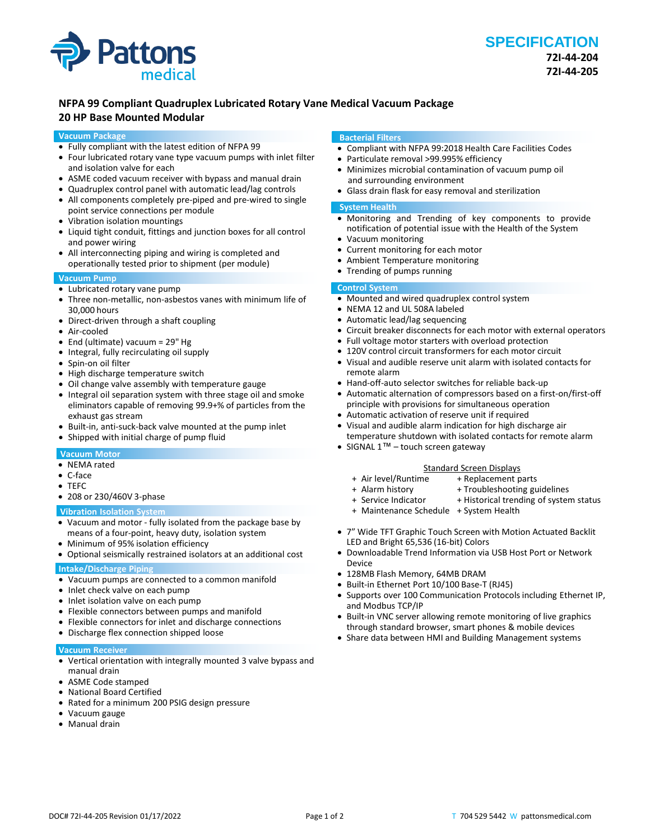

# **NFPA 99 Compliant Quadruplex Lubricated Rotary Vane Medical Vacuum Package 20 HP Base Mounted Modular**

### **Vacuum Package**

- Fully compliant with the latest edition of NFPA 99
- Four lubricated rotary vane type vacuum pumps with inlet filter and isolation valve for each
- ASME coded vacuum receiver with bypass and manual drain
- Quadruplex control panel with automatic lead/lag controls
- All components completely pre-piped and pre-wired to single point service connections per module
- Vibration isolation mountings
- Liquid tight conduit, fittings and junction boxes for all control and power wiring
- All interconnecting piping and wiring is completed and operationally tested prior to shipment (per module)

## **Vacuum Pump**

- Lubricated rotary vane pump
- Three non-metallic, non-asbestos vanes with minimum life of 30,000 hours
- Direct-driven through a shaft coupling
- Air-cooled
- End (ultimate) vacuum = 29" Hg
- Integral, fully recirculating oil supply
- Spin-on oil filter
- High discharge temperature switch
- Oil change valve assembly with temperature gauge
- Integral oil separation system with three stage oil and smoke eliminators capable of removing 99.9+% of particles from the exhaust gas stream
- Built-in, anti-suck-back valve mounted at the pump inlet
- Shipped with initial charge of pump fluid

# **Vacuum Motor**

- NEMA rated
- C-face
- TEFC
- 208 or 230/460V 3-phase

## **Vibration Isolation System**

- Vacuum and motor fully isolated from the package base by means of a four-point, heavy duty, isolation system
- Minimum of 95% isolation efficiency
- Optional seismically restrained isolators at an additional cost

# **Intake/Discharge Piping**

- Vacuum pumps are connected to a common manifold
- Inlet check valve on each pump
- Inlet isolation valve on each pump
- Flexible connectors between pumps and manifold
- Flexible connectors for inlet and discharge connections
- Discharge flex connection shipped loose

#### **Vacuum Receiver**

- Vertical orientation with integrally mounted 3 valve bypass and manual drain
- ASME Code stamped
- National Board Certified
- Rated for a minimum 200 PSIG design pressure
- Vacuum gauge
- Manual drain

### **Bacterial Filters**

- Compliant with NFPA 99:2018 Health Care Facilities Codes
- Particulate removal >99.995% efficiency
- Minimizes microbial contamination of vacuum pump oil and surrounding environment
- Glass drain flask for easy removal and sterilization

## **System Health**

- Monitoring and Trending of key components to provide notification of potential issue with the Health of the System
- Vacuum monitoring
- Current monitoring for each motor • Ambient Temperature monitoring
- Trending of pumps running

## **Control System**

- Mounted and wired quadruplex control system
- NEMA 12 and UL 508A labeled
- Automatic lead/lag sequencing
- Circuit breaker disconnects for each motor with external operators
- Full voltage motor starters with overload protection
- 120V control circuit transformers for each motor circuit
- Visual and audible reserve unit alarm with isolated contacts for remote alarm
- Hand-off-auto selector switches for reliable back-up
- Automatic alternation of compressors based on a first-on/first-off principle with provisions for simultaneous operation
- Automatic activation of reserve unit if required
- Visual and audible alarm indication for high discharge air temperature shutdown with isolated contacts for remote alarm
- SIGNAL 1<sup>™</sup> touch screen gateway

- Standard Screen Displays<br>Air level/Runtime + Replacement p + Replacement parts
- 
- + Alarm history + Troubleshooting guidelines<br>+ Service Indicator + Historical trending of syster + Historical trending of system status
- 
- + Maintenance Schedule + System Health
- 7" Wide TFT Graphic Touch Screen with Motion Actuated Backlit LED and Bright 65,536 (16-bit) Colors
- Downloadable Trend Information via USB Host Port or Network Device
- 128MB Flash Memory, 64MB DRAM
- Built-in Ethernet Port 10/100 Base-T (RJ45)
- Supports over 100 Communication Protocols including Ethernet IP, and Modbus TCP/IP
- Built-in VNC server allowing remote monitoring of live graphics through standard browser, smart phones & mobile devices
- Share data between HMI and Building Management systems